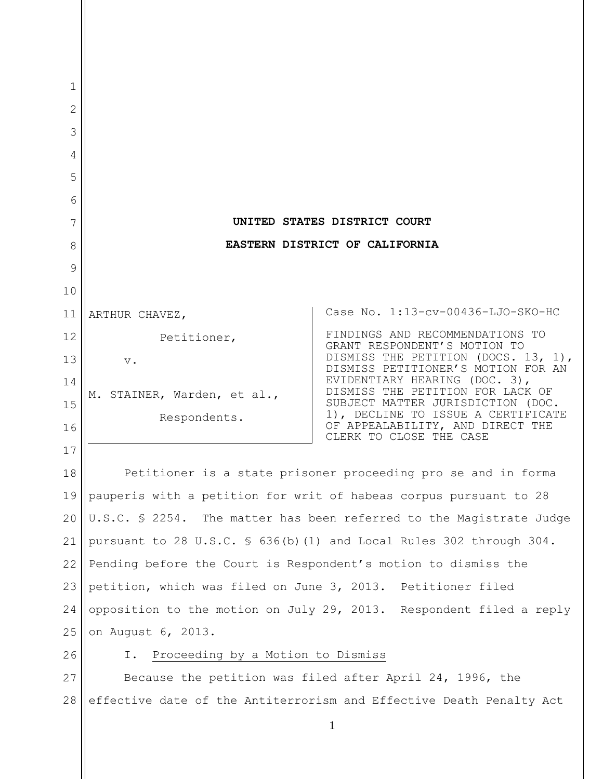| 1      |                                                                     |                                                                           |
|--------|---------------------------------------------------------------------|---------------------------------------------------------------------------|
| 2      |                                                                     |                                                                           |
| 3      |                                                                     |                                                                           |
| 4<br>5 |                                                                     |                                                                           |
| 6      |                                                                     |                                                                           |
| 7      |                                                                     | UNITED STATES DISTRICT COURT                                              |
| 8      | EASTERN DISTRICT OF CALIFORNIA                                      |                                                                           |
| 9      |                                                                     |                                                                           |
| 10     |                                                                     |                                                                           |
| 11     | ARTHUR CHAVEZ,                                                      | Case No. 1:13-cv-00436-LJO-SKO-HC                                         |
| 12     | Petitioner,                                                         | FINDINGS AND RECOMMENDATIONS TO<br>GRANT RESPONDENT'S MOTION TO           |
| 13     | $\mathbf v$ .                                                       | DISMISS THE PETITION (DOCS. 13, 1),<br>DISMISS PETITIONER'S MOTION FOR AN |
| 14     | M. STAINER, Warden, et al.,                                         | EVIDENTIARY HEARING (DOC. 3),<br>DISMISS THE PETITION FOR LACK OF         |
| 15     | Respondents.                                                        | SUBJECT MATTER JURISDICTION (DOC.<br>1), DECLINE TO ISSUE A CERTIFICATE   |
| 16     |                                                                     | OF APPEALABILITY, AND DIRECT THE<br>CLERK TO CLOSE THE CASE               |
| 17     |                                                                     |                                                                           |
| 18     |                                                                     | Petitioner is a state prisoner proceeding pro se and in forma             |
| 19     |                                                                     | pauperis with a petition for writ of habeas corpus pursuant to 28         |
| 20     | U.S.C. § 2254. The matter has been referred to the Magistrate Judge |                                                                           |
| 21     |                                                                     | pursuant to 28 U.S.C. § 636(b) (1) and Local Rules 302 through 304.       |
| 22     | Pending before the Court is Respondent's motion to dismiss the      |                                                                           |
| 23     | petition, which was filed on June 3, 2013. Petitioner filed         |                                                                           |
| 24     |                                                                     | opposition to the motion on July 29, 2013. Respondent filed a reply       |
| 25     | on August 6, 2013.                                                  |                                                                           |
| 26     | Proceeding by a Motion to Dismiss<br>I.                             |                                                                           |
| 27     | Because the petition was filed after April 24, 1996, the            |                                                                           |
| 28     | effective date of the Antiterrorism and Effective Death Penalty Act |                                                                           |
|        |                                                                     | $\mathbf{1}$                                                              |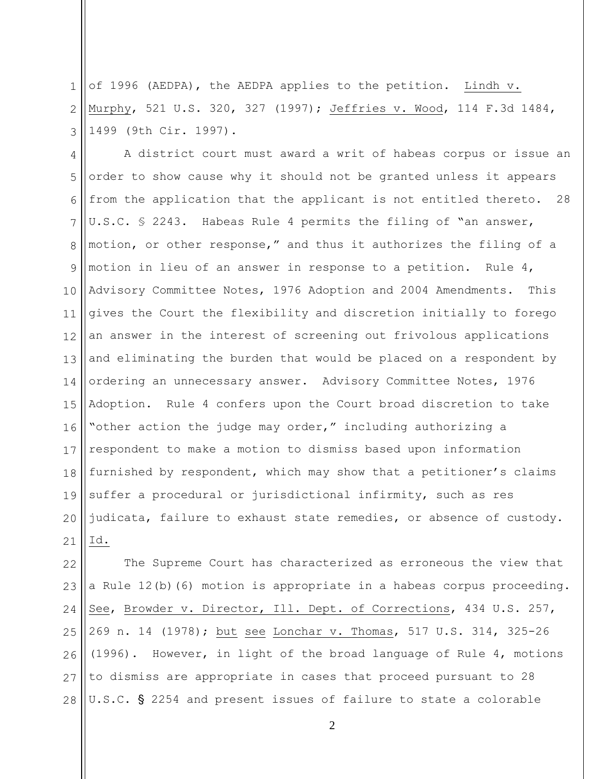1 2 3 of 1996 (AEDPA), the AEDPA applies to the petition. Lindh v. Murphy, 521 U.S. 320, 327 (1997); Jeffries v. Wood, 114 F.3d 1484, 1499 (9th Cir. 1997).

4 5 6 7 8 9 10 11 12 13 14 15 16 17 18 19 20 21 A district court must award a writ of habeas corpus or issue an order to show cause why it should not be granted unless it appears from the application that the applicant is not entitled thereto. 28 U.S.C. § 2243. Habeas Rule 4 permits the filing of "an answer, motion, or other response," and thus it authorizes the filing of a motion in lieu of an answer in response to a petition. Rule 4, Advisory Committee Notes, 1976 Adoption and 2004 Amendments. This gives the Court the flexibility and discretion initially to forego an answer in the interest of screening out frivolous applications and eliminating the burden that would be placed on a respondent by ordering an unnecessary answer. Advisory Committee Notes, 1976 Adoption. Rule 4 confers upon the Court broad discretion to take "other action the judge may order," including authorizing a respondent to make a motion to dismiss based upon information furnished by respondent, which may show that a petitioner's claims suffer a procedural or jurisdictional infirmity, such as res judicata, failure to exhaust state remedies, or absence of custody. Id.

22 23 24 25 26 27 28 The Supreme Court has characterized as erroneous the view that a Rule 12(b)(6) motion is appropriate in a habeas corpus proceeding. See, Browder v. Director, Ill. Dept. of Corrections, 434 U.S. 257, 269 n. 14 (1978); but see Lonchar v. Thomas, 517 U.S. 314, 325-26 (1996). However, in light of the broad language of Rule 4, motions to dismiss are appropriate in cases that proceed pursuant to 28 U.S.C. § 2254 and present issues of failure to state a colorable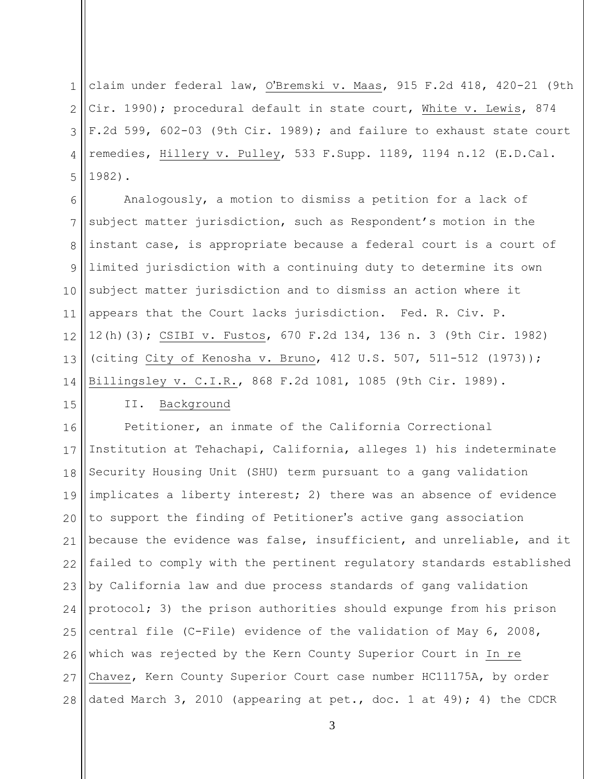1  $\mathcal{D}_{\mathcal{L}}$ 3 4 5 claim under federal law, O'Bremski v. Maas, 915 F.2d 418, 420-21 (9th Cir. 1990); procedural default in state court, White v. Lewis, 874 F.2d 599, 602-03 (9th Cir. 1989); and failure to exhaust state court remedies, Hillery v. Pulley, 533 F.Supp. 1189, 1194 n.12 (E.D.Cal. 1982).

6 7 8 9 10 11 12 13 14 Analogously, a motion to dismiss a petition for a lack of subject matter jurisdiction, such as Respondent's motion in the instant case, is appropriate because a federal court is a court of limited jurisdiction with a continuing duty to determine its own subject matter jurisdiction and to dismiss an action where it appears that the Court lacks jurisdiction. Fed. R. Civ. P. 12(h)(3); CSIBI v. Fustos, 670 F.2d 134, 136 n. 3 (9th Cir. 1982) (citing City of Kenosha v. Bruno, 412 U.S. 507, 511-512 (1973)); Billingsley v. C.I.R., 868 F.2d 1081, 1085 (9th Cir. 1989).

# 15

II. Background

16 17 18 19 20 21 22 23 24 25 26 27 28 Petitioner, an inmate of the California Correctional Institution at Tehachapi, California, alleges 1) his indeterminate Security Housing Unit (SHU) term pursuant to a gang validation implicates a liberty interest; 2) there was an absence of evidence to support the finding of Petitioner's active gang association because the evidence was false, insufficient, and unreliable, and it failed to comply with the pertinent regulatory standards established by California law and due process standards of gang validation protocol; 3) the prison authorities should expunge from his prison central file (C-File) evidence of the validation of May 6, 2008, which was rejected by the Kern County Superior Court in In re Chavez, Kern County Superior Court case number HC11175A, by order dated March 3, 2010 (appearing at pet., doc. 1 at 49); 4) the CDCR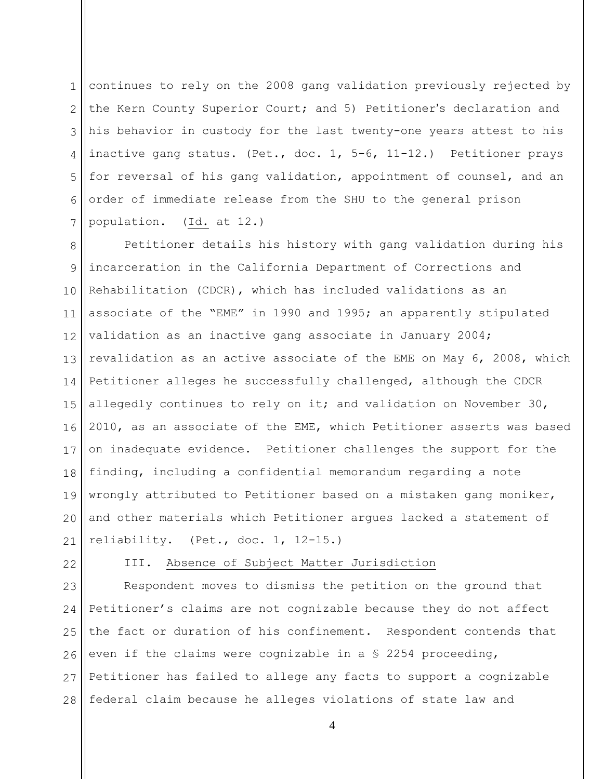1 2 3 4 5 6 7 continues to rely on the 2008 gang validation previously rejected by the Kern County Superior Court; and 5) Petitioner's declaration and his behavior in custody for the last twenty-one years attest to his inactive gang status. (Pet., doc. 1, 5-6, 11-12.) Petitioner prays for reversal of his gang validation, appointment of counsel, and an order of immediate release from the SHU to the general prison population. (Id. at 12.)

8 9 10 11 12 13 14 15 16 17 18 19 20 21 Petitioner details his history with gang validation during his incarceration in the California Department of Corrections and Rehabilitation (CDCR), which has included validations as an associate of the "EME" in 1990 and 1995; an apparently stipulated validation as an inactive gang associate in January 2004; revalidation as an active associate of the EME on May 6, 2008, which Petitioner alleges he successfully challenged, although the CDCR allegedly continues to rely on it; and validation on November 30, 2010, as an associate of the EME, which Petitioner asserts was based on inadequate evidence. Petitioner challenges the support for the finding, including a confidential memorandum regarding a note wrongly attributed to Petitioner based on a mistaken gang moniker, and other materials which Petitioner argues lacked a statement of reliability. (Pet., doc. 1, 12-15.)

22

## III. Absence of Subject Matter Jurisdiction

23 24 25 26 27 28 Respondent moves to dismiss the petition on the ground that Petitioner's claims are not cognizable because they do not affect the fact or duration of his confinement. Respondent contends that even if the claims were cognizable in a § 2254 proceeding, Petitioner has failed to allege any facts to support a cognizable federal claim because he alleges violations of state law and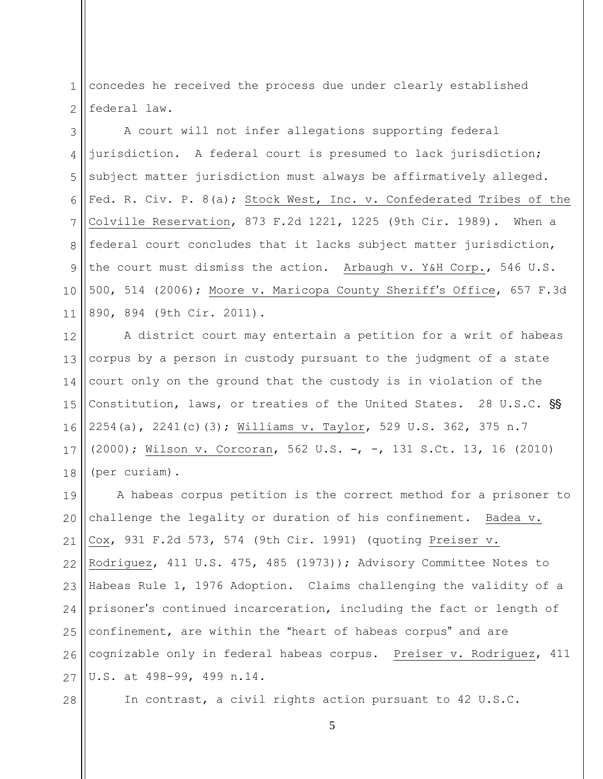1 2 concedes he received the process due under clearly established federal law.

3 4 5 6 7 8 9 10 11 A court will not infer allegations supporting federal jurisdiction. A federal court is presumed to lack jurisdiction; subject matter jurisdiction must always be affirmatively alleged. Fed. R. Civ. P. 8(a); Stock West, Inc. v. Confederated Tribes of the Colville Reservation, 873 F.2d 1221, 1225 (9th Cir. 1989). When a federal court concludes that it lacks subject matter jurisdiction, the court must dismiss the action. Arbaugh v. Y&H Corp., 546 U.S. 500, 514 (2006); Moore v. Maricopa County Sheriff's Office, 657 F.3d 890, 894 (9th Cir. 2011).

12 13 14 15 16 17 18 A district court may entertain a petition for a writ of habeas corpus by a person in custody pursuant to the judgment of a state court only on the ground that the custody is in violation of the Constitution, laws, or treaties of the United States. 28 U.S.C. SS 2254(a), 2241(c)(3); Williams v. Taylor, 529 U.S. 362, 375 n.7 (2000); Wilson v. Corcoran, 562 U.S. -, -, 131 S.Ct. 13, 16 (2010) (per curiam).

19 20 21 22 23 24 25 26 27 A habeas corpus petition is the correct method for a prisoner to challenge the legality or duration of his confinement. Badea v. Cox, 931 F.2d 573, 574 (9th Cir. 1991) (quoting Preiser v. Rodriguez, 411 U.S. 475, 485 (1973)); Advisory Committee Notes to Habeas Rule 1, 1976 Adoption. Claims challenging the validity of a prisoner's continued incarceration, including the fact or length of confinement, are within the "heart of habeas corpus" and are cognizable only in federal habeas corpus. Preiser v. Rodriguez, 411 U.S. at 498-99, 499 n.14.

28

In contrast, a civil rights action pursuant to 42 U.S.C.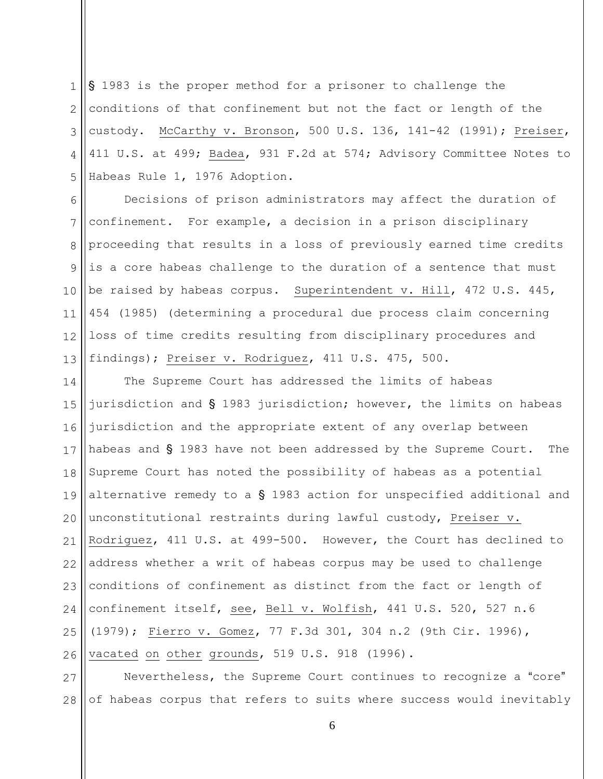1  $\mathcal{D}_{\mathcal{L}}$ 3 4 5 S 1983 is the proper method for a prisoner to challenge the conditions of that confinement but not the fact or length of the custody. McCarthy v. Bronson, 500 U.S. 136, 141-42 (1991); Preiser, 411 U.S. at 499; Badea, 931 F.2d at 574; Advisory Committee Notes to Habeas Rule 1, 1976 Adoption.

6 7 8 9 10 11 12 13 Decisions of prison administrators may affect the duration of confinement. For example, a decision in a prison disciplinary proceeding that results in a loss of previously earned time credits is a core habeas challenge to the duration of a sentence that must be raised by habeas corpus. Superintendent v. Hill, 472 U.S. 445, 454 (1985) (determining a procedural due process claim concerning loss of time credits resulting from disciplinary procedures and findings); Preiser v. Rodriguez, 411 U.S. 475, 500.

14 15 16 17 18 19 20 21 22 23 24 25 26 The Supreme Court has addressed the limits of habeas jurisdiction and  $\S$  1983 jurisdiction; however, the limits on habeas jurisdiction and the appropriate extent of any overlap between habeas and  $\S$  1983 have not been addressed by the Supreme Court. The Supreme Court has noted the possibility of habeas as a potential alternative remedy to a  $\S$  1983 action for unspecified additional and unconstitutional restraints during lawful custody, Preiser v. Rodriguez, 411 U.S. at 499-500. However, the Court has declined to address whether a writ of habeas corpus may be used to challenge conditions of confinement as distinct from the fact or length of confinement itself, see, Bell v. Wolfish, 441 U.S. 520, 527 n.6 (1979); Fierro v. Gomez, 77 F.3d 301, 304 n.2 (9th Cir. 1996), vacated on other grounds, 519 U.S. 918 (1996).

27 28 Nevertheless, the Supreme Court continues to recognize a "core" of habeas corpus that refers to suits where success would inevitably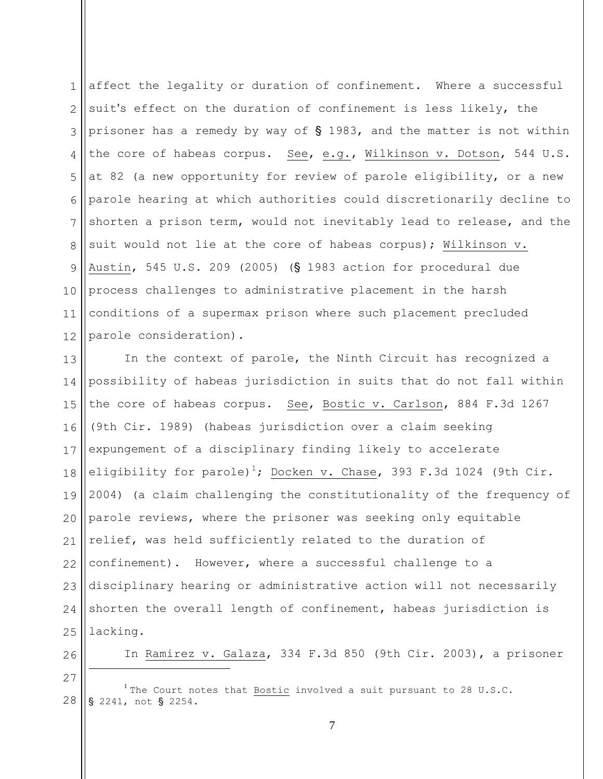1 2 3 4 5 6 7 8 9 10 11 12 affect the legality or duration of confinement. Where a successful suit's effect on the duration of confinement is less likely, the prisoner has a remedy by way of  $\S$  1983, and the matter is not within the core of habeas corpus. See, e.g., Wilkinson v. Dotson, 544 U.S. at 82 (a new opportunity for review of parole eligibility, or a new parole hearing at which authorities could discretionarily decline to shorten a prison term, would not inevitably lead to release, and the suit would not lie at the core of habeas corpus); Wilkinson v. Austin, 545 U.S. 209 (2005) ( $\S$  1983 action for procedural due process challenges to administrative placement in the harsh conditions of a supermax prison where such placement precluded parole consideration).

13 14 15 16 17 18 19 20 21 22 23 24 25 In the context of parole, the Ninth Circuit has recognized a possibility of habeas jurisdiction in suits that do not fall within the core of habeas corpus. See, Bostic v. Carlson, 884 F.3d 1267 (9th Cir. 1989) (habeas jurisdiction over a claim seeking expungement of a disciplinary finding likely to accelerate eligibility for parole)<sup>1</sup>; Docken v. Chase, 393 F.3d 1024 (9th Cir. 2004) (a claim challenging the constitutionality of the frequency of parole reviews, where the prisoner was seeking only equitable relief, was held sufficiently related to the duration of confinement). However, where a successful challenge to a disciplinary hearing or administrative action will not necessarily shorten the overall length of confinement, habeas jurisdiction is lacking.

26

In Ramirez v. Galaza, 334 F.3d 850 (9th Cir. 2003), a prisoner

27

 $\overline{a}$ 

28 <sup>1</sup> The Court notes that Bostic involved a suit pursuant to 28 U.S.C. § 2241, not § 2254.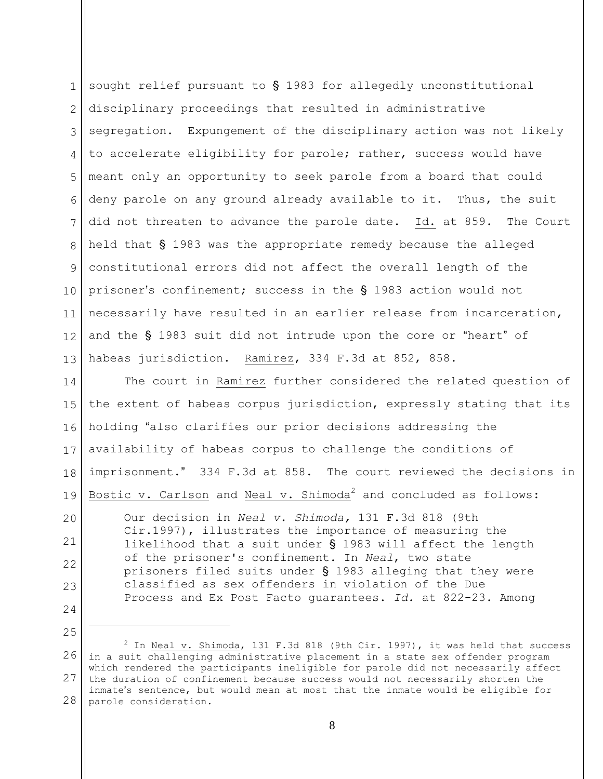1 2 3 4 5 6 7 8 9 10 11 12 13 sought relief pursuant to  $\S$  1983 for allegedly unconstitutional disciplinary proceedings that resulted in administrative segregation. Expungement of the disciplinary action was not likely to accelerate eligibility for parole; rather, success would have meant only an opportunity to seek parole from a board that could deny parole on any ground already available to it. Thus, the suit did not threaten to advance the parole date. Id. at 859. The Court held that  $\S$  1983 was the appropriate remedy because the alleged constitutional errors did not affect the overall length of the prisoner's confinement; success in the  $\S$  1983 action would not necessarily have resulted in an earlier release from incarceration, and the  $\S$  1983 suit did not intrude upon the core or "heart" of habeas jurisdiction. Ramirez, 334 F.3d at 852, 858.

14 15 16 17 18 19 The court in Ramirez further considered the related question of the extent of habeas corpus jurisdiction, expressly stating that its holding "also clarifies our prior decisions addressing the availability of habeas corpus to challenge the conditions of imprisonment." 334 F.3d at 858. The court reviewed the decisions in Bostic v. Carlson and Neal v. Shimoda<sup>2</sup> and concluded as follows:

20 21 22 23 24 Our decision in *Neal v. Shimoda,* 131 F.3d 818 (9th Cir.1997), illustrates the importance of measuring the likelihood that a suit under  $\S$  1983 will affect the length of the prisoner's confinement. In *Neal*, two state prisoners filed suits under  $\S$  1983 alleging that they were classified as sex offenders in violation of the Due Process and Ex Post Facto guarantees. *Id.* at 822-23. Among

25

 $\overline{a}$ 

<sup>26</sup> 27 28  $^2$  In Neal v. Shimoda, 131 F.3d 818 (9th Cir. 1997), it was held that success in a suit challenging administrative placement in a state sex offender program which rendered the participants ineligible for parole did not necessarily affect the duration of confinement because success would not necessarily shorten the inmate's sentence, but would mean at most that the inmate would be eligible for parole consideration.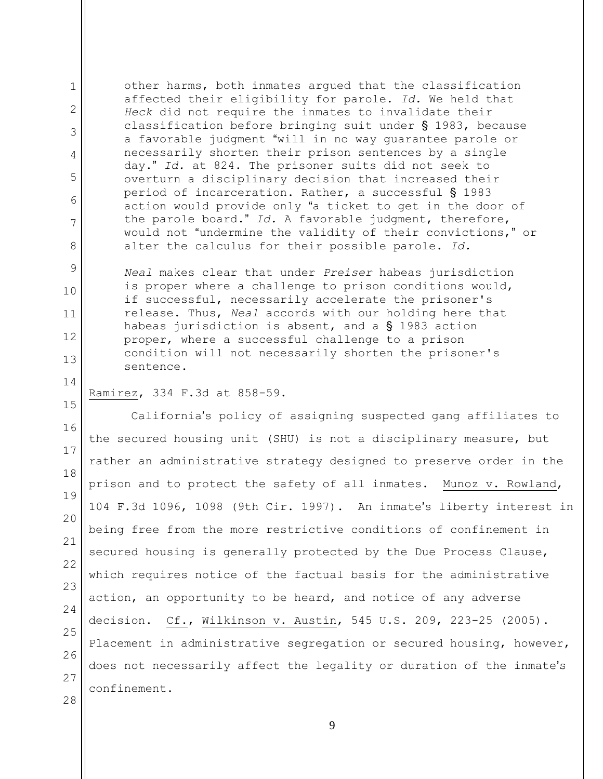other harms, both inmates argued that the classification affected their eligibility for parole. *Id.* We held that *Heck* did not require the inmates to invalidate their classification before bringing suit under  $\S$  1983, because a favorable judgment "will in no way guarantee parole or necessarily shorten their prison sentences by a single day." Id. at 824. The prisoner suits did not seek to overturn a disciplinary decision that increased their period of incarceration. Rather, a successful  $\S$  1983 action would provide only "a ticket to get in the door of the parole board." Id. A favorable judgment, therefore, would not "undermine the validity of their convictions," or alter the calculus for their possible parole. *Id.*

*Neal* makes clear that under *Preiser* habeas jurisdiction is proper where a challenge to prison conditions would, if successful, necessarily accelerate the prisoner's release. Thus, *Neal* accords with our holding here that habeas jurisdiction is absent, and a  $\S$  1983 action proper, where a successful challenge to a prison condition will not necessarily shorten the prisoner's sentence.

#### 15 Ramirez, 334 F.3d at 858-59.

1

2

3

4

5

6

7

8

9

10

11

12

13

14

16 17 18 19 20 21 22 23 24 25 26 27 28 California's policy of assigning suspected gang affiliates to the secured housing unit (SHU) is not a disciplinary measure, but rather an administrative strategy designed to preserve order in the prison and to protect the safety of all inmates. Munoz v. Rowland, 104 F.3d 1096, 1098 (9th Cir. 1997). An inmate's liberty interest in being free from the more restrictive conditions of confinement in secured housing is generally protected by the Due Process Clause, which requires notice of the factual basis for the administrative action, an opportunity to be heard, and notice of any adverse decision. Cf., Wilkinson v. Austin, 545 U.S. 209, 223-25 (2005). Placement in administrative segregation or secured housing, however, does not necessarily affect the legality or duration of the inmate's confinement.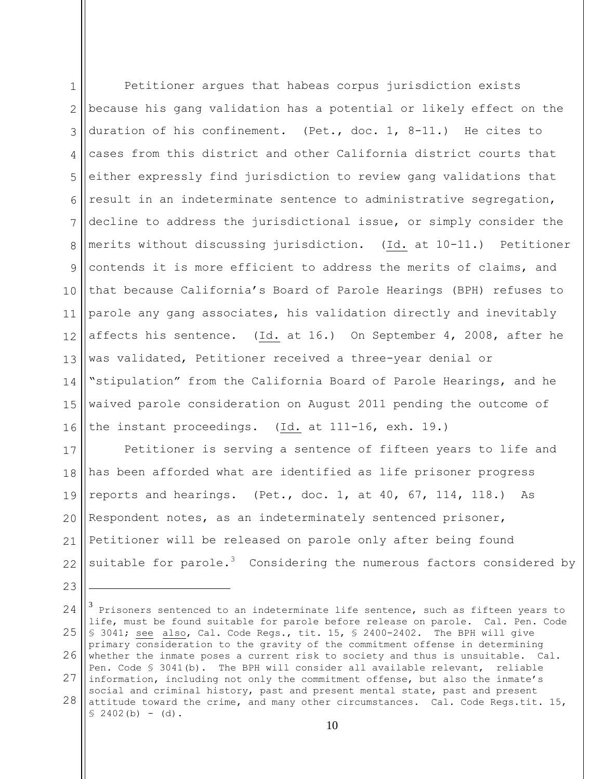1 2 3 4 5 6 7 8 9 10 11 12 13 14 15 16 Petitioner argues that habeas corpus jurisdiction exists because his gang validation has a potential or likely effect on the duration of his confinement. (Pet., doc. 1, 8-11.) He cites to cases from this district and other California district courts that either expressly find jurisdiction to review gang validations that result in an indeterminate sentence to administrative segregation, decline to address the jurisdictional issue, or simply consider the merits without discussing jurisdiction. (Id. at 10-11.) Petitioner contends it is more efficient to address the merits of claims, and that because California's Board of Parole Hearings (BPH) refuses to parole any gang associates, his validation directly and inevitably affects his sentence. (Id. at 16.) On September 4, 2008, after he was validated, Petitioner received a three-year denial or "stipulation" from the California Board of Parole Hearings, and he waived parole consideration on August 2011 pending the outcome of the instant proceedings. (Id. at 111-16, exh. 19.)

17 18 19 20 21 22 Petitioner is serving a sentence of fifteen years to life and has been afforded what are identified as life prisoner progress reports and hearings. (Pet., doc. 1, at 40, 67, 114, 118.) As Respondent notes, as an indeterminately sentenced prisoner, Petitioner will be released on parole only after being found suitable for parole. $3$  Considering the numerous factors considered by

24 25 26 27 28 3 Prisoners sentenced to an indeterminate life sentence, such as fifteen years to life, must be found suitable for parole before release on parole. Cal. Pen. Code § 3041; see also, Cal. Code Regs., tit. 15, § 2400-2402. The BPH will give primary consideration to the gravity of the commitment offense in determining whether the inmate poses a current risk to society and thus is unsuitable. Cal. Pen. Code § 3041(b). The BPH will consider all available relevant, reliable information, including not only the commitment offense, but also the inmate's social and criminal history, past and present mental state, past and present attitude toward the crime, and many other circumstances. Cal. Code Regs.tit. 15,  $$2402(b) - (d).$ 

23

 $\overline{a}$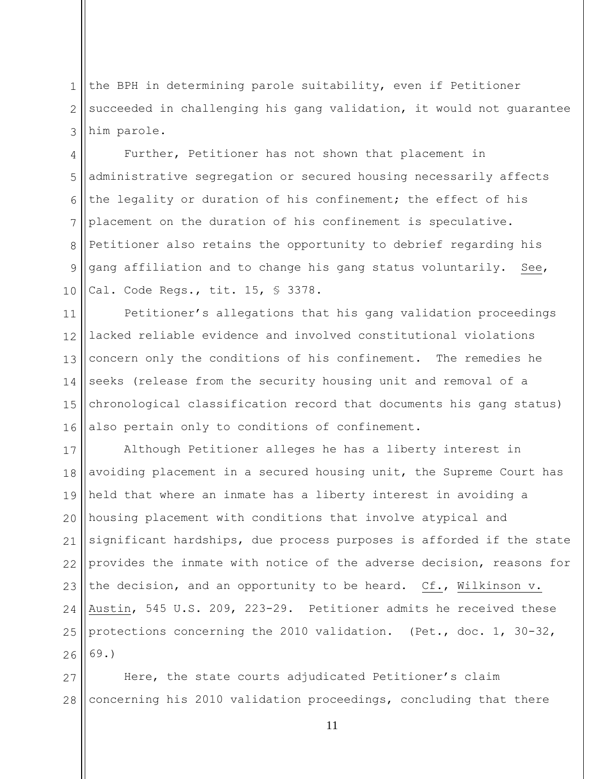1 2 3 the BPH in determining parole suitability, even if Petitioner succeeded in challenging his gang validation, it would not guarantee him parole.

4 5 6 7 8 9 10 Further, Petitioner has not shown that placement in administrative segregation or secured housing necessarily affects the legality or duration of his confinement; the effect of his placement on the duration of his confinement is speculative. Petitioner also retains the opportunity to debrief regarding his gang affiliation and to change his gang status voluntarily. See, Cal. Code Regs., tit. 15, § 3378.

11 12 13 14 15 16 Petitioner's allegations that his gang validation proceedings lacked reliable evidence and involved constitutional violations concern only the conditions of his confinement. The remedies he seeks (release from the security housing unit and removal of a chronological classification record that documents his gang status) also pertain only to conditions of confinement.

17 18 19 20 21 22 23 24 25 26 Although Petitioner alleges he has a liberty interest in avoiding placement in a secured housing unit, the Supreme Court has held that where an inmate has a liberty interest in avoiding a housing placement with conditions that involve atypical and significant hardships, due process purposes is afforded if the state provides the inmate with notice of the adverse decision, reasons for the decision, and an opportunity to be heard. Cf., Wilkinson v. Austin, 545 U.S. 209, 223-29. Petitioner admits he received these protections concerning the 2010 validation. (Pet., doc. 1, 30-32, 69.)

27 28 Here, the state courts adjudicated Petitioner's claim concerning his 2010 validation proceedings, concluding that there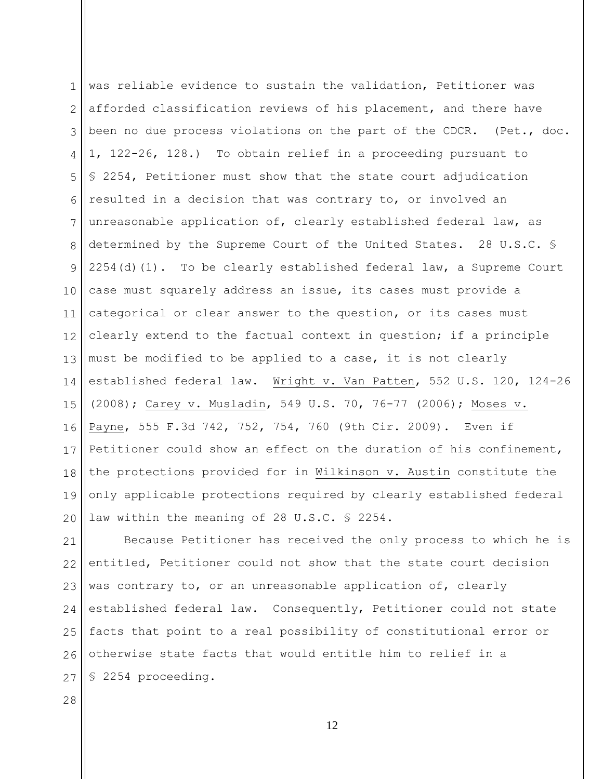1  $\mathcal{D}_{\mathcal{L}}$ 3 4 5 6 7 8 9 10 11 12 13 14 15 16 17 18 19 20 was reliable evidence to sustain the validation, Petitioner was afforded classification reviews of his placement, and there have been no due process violations on the part of the CDCR. (Pet., doc. 1, 122-26, 128.) To obtain relief in a proceeding pursuant to § 2254, Petitioner must show that the state court adjudication resulted in a decision that was contrary to, or involved an unreasonable application of, clearly established federal law, as determined by the Supreme Court of the United States. 28 U.S.C. §  $2254$ (d)(1). To be clearly established federal law, a Supreme Court case must squarely address an issue, its cases must provide a categorical or clear answer to the question, or its cases must clearly extend to the factual context in question; if a principle must be modified to be applied to a case, it is not clearly established federal law. Wright v. Van Patten, 552 U.S. 120, 124-26 (2008); Carey v. Musladin, 549 U.S. 70, 76-77 (2006); Moses v. Payne, 555 F.3d 742, 752, 754, 760 (9th Cir. 2009). Even if Petitioner could show an effect on the duration of his confinement, the protections provided for in Wilkinson v. Austin constitute the only applicable protections required by clearly established federal law within the meaning of 28 U.S.C. § 2254.

21 22 23 24 25 26 27 Because Petitioner has received the only process to which he is entitled, Petitioner could not show that the state court decision was contrary to, or an unreasonable application of, clearly established federal law. Consequently, Petitioner could not state facts that point to a real possibility of constitutional error or otherwise state facts that would entitle him to relief in a § 2254 proceeding.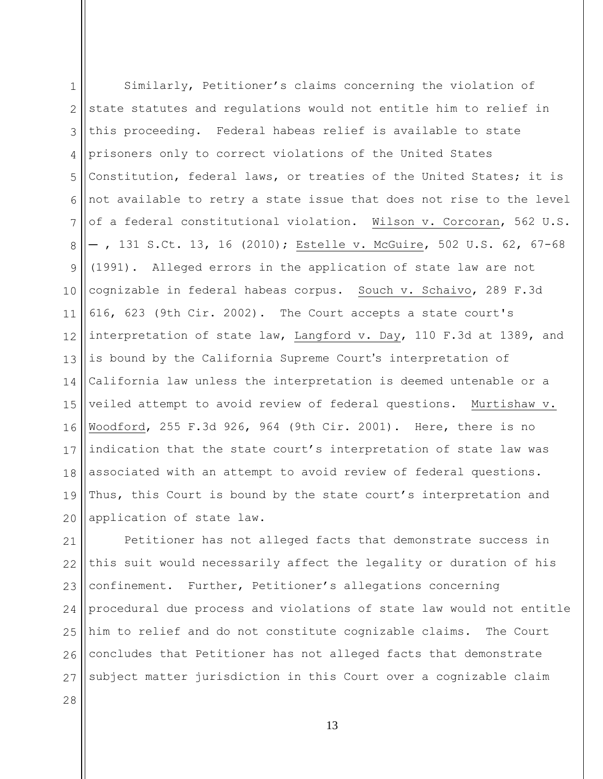1 2 3 4 5 6 7 8 9 10 11 12 13 14 15 16 17 18 19 20 Similarly, Petitioner's claims concerning the violation of state statutes and regulations would not entitle him to relief in this proceeding. Federal habeas relief is available to state prisoners only to correct violations of the United States Constitution, federal laws, or treaties of the United States; it is not available to retry a state issue that does not rise to the level of a federal constitutional violation. Wilson v. Corcoran, 562 U.S.  $-$ , 131 S.Ct. 13, 16 (2010); Estelle v. McGuire, 502 U.S. 62, 67-68 (1991). Alleged errors in the application of state law are not cognizable in federal habeas corpus. Souch v. Schaivo, 289 F.3d 616, 623 (9th Cir. 2002). The Court accepts a state court's interpretation of state law, Langford v. Day, 110 F.3d at 1389, and is bound by the California Supreme Court's interpretation of California law unless the interpretation is deemed untenable or a veiled attempt to avoid review of federal questions. Murtishaw v. Woodford, 255 F.3d 926, 964 (9th Cir. 2001). Here, there is no indication that the state court's interpretation of state law was associated with an attempt to avoid review of federal questions. Thus, this Court is bound by the state court's interpretation and application of state law.

21 22 23 24 25 26 27 Petitioner has not alleged facts that demonstrate success in this suit would necessarily affect the legality or duration of his confinement. Further, Petitioner's allegations concerning procedural due process and violations of state law would not entitle him to relief and do not constitute cognizable claims. The Court concludes that Petitioner has not alleged facts that demonstrate subject matter jurisdiction in this Court over a cognizable claim

28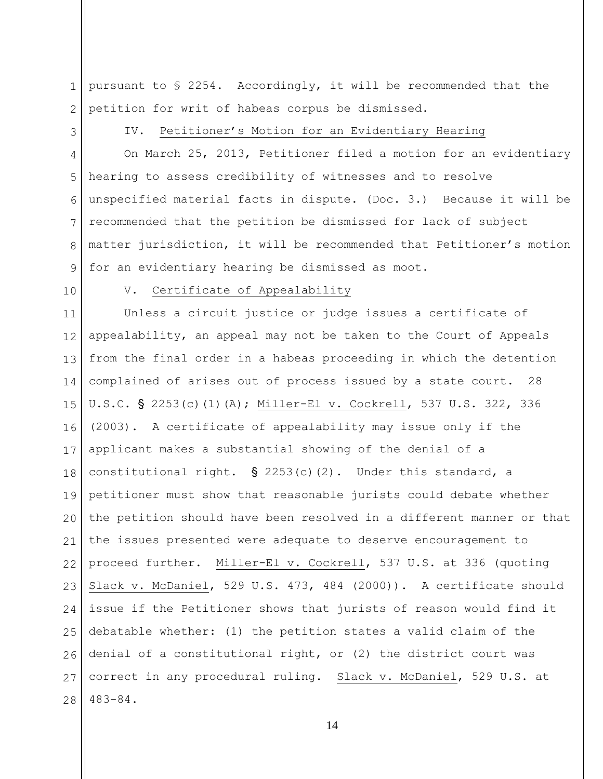1 2 pursuant to § 2254. Accordingly, it will be recommended that the petition for writ of habeas corpus be dismissed.

3

# IV. Petitioner's Motion for an Evidentiary Hearing

4 5 6 7 8 9 On March 25, 2013, Petitioner filed a motion for an evidentiary hearing to assess credibility of witnesses and to resolve unspecified material facts in dispute. (Doc. 3.) Because it will be recommended that the petition be dismissed for lack of subject matter jurisdiction, it will be recommended that Petitioner's motion for an evidentiary hearing be dismissed as moot.

10

# V. Certificate of Appealability

11 12 13 14 15 16 17 18 19 20 21 22 23 24 25 26 27 28 Unless a circuit justice or judge issues a certificate of appealability, an appeal may not be taken to the Court of Appeals from the final order in a habeas proceeding in which the detention complained of arises out of process issued by a state court. 28 U.S.C. § 2253(c)(1)(A); Miller-El v. Cockrell, 537 U.S. 322, 336 (2003). A certificate of appealability may issue only if the applicant makes a substantial showing of the denial of a constitutional right.  $\S$  2253(c)(2). Under this standard, a petitioner must show that reasonable jurists could debate whether the petition should have been resolved in a different manner or that the issues presented were adequate to deserve encouragement to proceed further. Miller-El v. Cockrell, 537 U.S. at 336 (quoting Slack v. McDaniel, 529 U.S. 473, 484 (2000)). A certificate should issue if the Petitioner shows that jurists of reason would find it debatable whether: (1) the petition states a valid claim of the denial of a constitutional right, or (2) the district court was correct in any procedural ruling. Slack v. McDaniel, 529 U.S. at 483-84.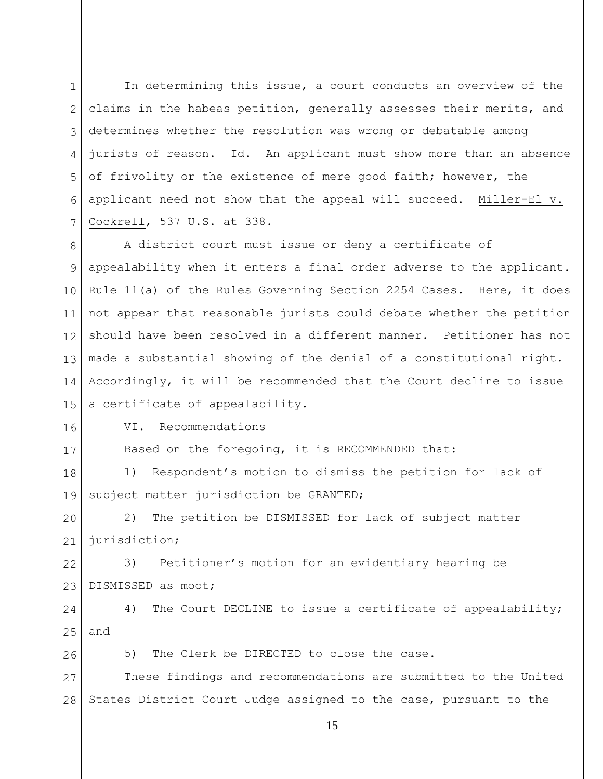1  $\mathcal{D}$ 3 4 5 6 7 In determining this issue, a court conducts an overview of the claims in the habeas petition, generally assesses their merits, and determines whether the resolution was wrong or debatable among jurists of reason. Id. An applicant must show more than an absence of frivolity or the existence of mere good faith; however, the applicant need not show that the appeal will succeed. Miller-El v. Cockrell, 537 U.S. at 338.

8 9 10 11 12 13 14 15 A district court must issue or deny a certificate of appealability when it enters a final order adverse to the applicant. Rule 11(a) of the Rules Governing Section 2254 Cases. Here, it does not appear that reasonable jurists could debate whether the petition should have been resolved in a different manner. Petitioner has not made a substantial showing of the denial of a constitutional right. Accordingly, it will be recommended that the Court decline to issue a certificate of appealability.

16

17

26

## VI. Recommendations

Based on the foregoing, it is RECOMMENDED that:

18 19 1) Respondent's motion to dismiss the petition for lack of subject matter jurisdiction be GRANTED;

20 21 2) The petition be DISMISSED for lack of subject matter jurisdiction;

22 23 3) Petitioner's motion for an evidentiary hearing be DISMISSED as moot;

24 25 4) The Court DECLINE to issue a certificate of appealability; and

5) The Clerk be DIRECTED to close the case.

27 28 These findings and recommendations are submitted to the United States District Court Judge assigned to the case, pursuant to the